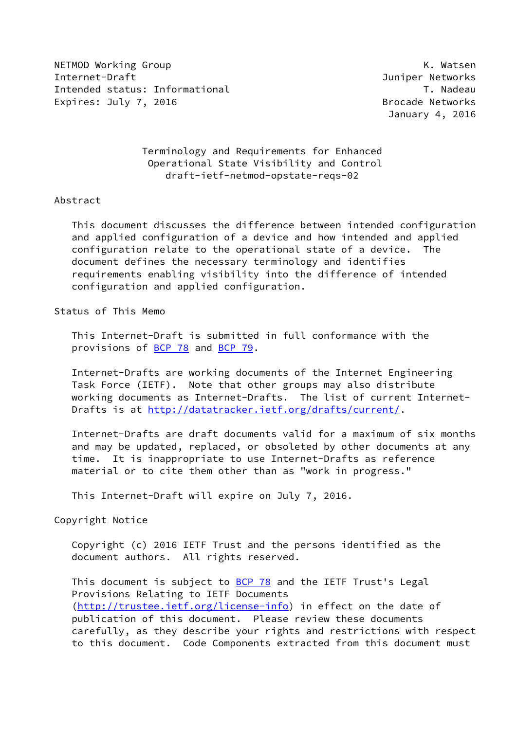NETMOD Working Group No. 2008 Network and the United States of the United States of the United States of the U Internet-Draft Juniper Networks Intended status: Informational T. Nadeau Expires: July 7, 2016 **Brocade Networks** 

January 4, 2016

# Terminology and Requirements for Enhanced Operational State Visibility and Control draft-ietf-netmod-opstate-reqs-02

### Abstract

 This document discusses the difference between intended configuration and applied configuration of a device and how intended and applied configuration relate to the operational state of a device. The document defines the necessary terminology and identifies requirements enabling visibility into the difference of intended configuration and applied configuration.

#### Status of This Memo

 This Internet-Draft is submitted in full conformance with the provisions of **BCP 78** and **BCP 79**.

 Internet-Drafts are working documents of the Internet Engineering Task Force (IETF). Note that other groups may also distribute working documents as Internet-Drafts. The list of current Internet Drafts is at<http://datatracker.ietf.org/drafts/current/>.

 Internet-Drafts are draft documents valid for a maximum of six months and may be updated, replaced, or obsoleted by other documents at any time. It is inappropriate to use Internet-Drafts as reference material or to cite them other than as "work in progress."

This Internet-Draft will expire on July 7, 2016.

### Copyright Notice

 Copyright (c) 2016 IETF Trust and the persons identified as the document authors. All rights reserved.

This document is subject to **[BCP 78](https://datatracker.ietf.org/doc/pdf/bcp78)** and the IETF Trust's Legal Provisions Relating to IETF Documents [\(http://trustee.ietf.org/license-info](http://trustee.ietf.org/license-info)) in effect on the date of publication of this document. Please review these documents carefully, as they describe your rights and restrictions with respect to this document. Code Components extracted from this document must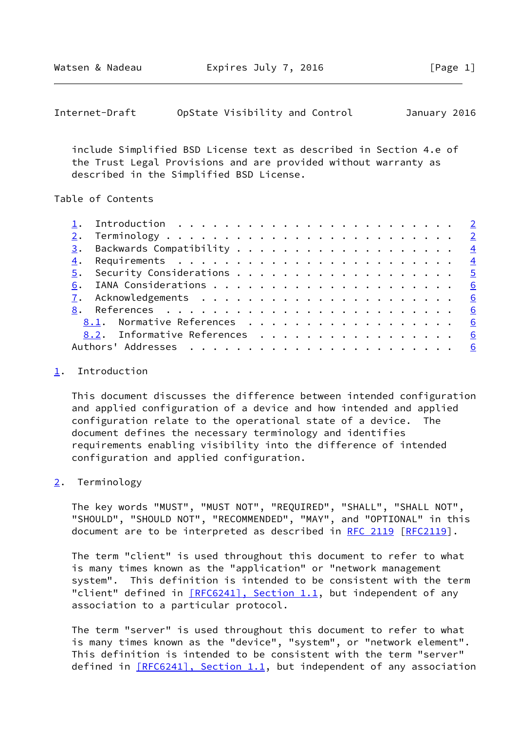Watsen & Nadeau **Expires July 7, 2016** [Page 1]

<span id="page-1-1"></span>

| Internet-Draft | OpState Visibility and Control |  | January 2016 |  |
|----------------|--------------------------------|--|--------------|--|
|----------------|--------------------------------|--|--------------|--|

 include Simplified BSD License text as described in Section 4.e of the Trust Legal Provisions and are provided without warranty as described in the Simplified BSD License.

## Table of Contents

|    | 4. Requirements $\ldots \ldots \ldots \ldots \ldots \ldots \ldots \ldots$ |  |
|----|---------------------------------------------------------------------------|--|
|    |                                                                           |  |
| 6. |                                                                           |  |
|    |                                                                           |  |
|    |                                                                           |  |
|    | 8.1. Normative References 6                                               |  |
|    | 8.2. Informative References 6                                             |  |
|    |                                                                           |  |

### <span id="page-1-0"></span>[1](#page-1-0). Introduction

 This document discusses the difference between intended configuration and applied configuration of a device and how intended and applied configuration relate to the operational state of a device. The document defines the necessary terminology and identifies requirements enabling visibility into the difference of intended configuration and applied configuration.

### <span id="page-1-2"></span>[2](#page-1-2). Terminology

 The key words "MUST", "MUST NOT", "REQUIRED", "SHALL", "SHALL NOT", "SHOULD", "SHOULD NOT", "RECOMMENDED", "MAY", and "OPTIONAL" in this document are to be interpreted as described in [RFC 2119 \[RFC2119](https://datatracker.ietf.org/doc/pdf/rfc2119)].

 The term "client" is used throughout this document to refer to what is many times known as the "application" or "network management system". This definition is intended to be consistent with the term "client" defined in [\[RFC6241\], Section](https://datatracker.ietf.org/doc/pdf/rfc6241#section-1.1) 1.1, but independent of any association to a particular protocol.

 The term "server" is used throughout this document to refer to what is many times known as the "device", "system", or "network element". This definition is intended to be consistent with the term "server" defined in  $[REC6241]$ , Section 1.1, but independent of any association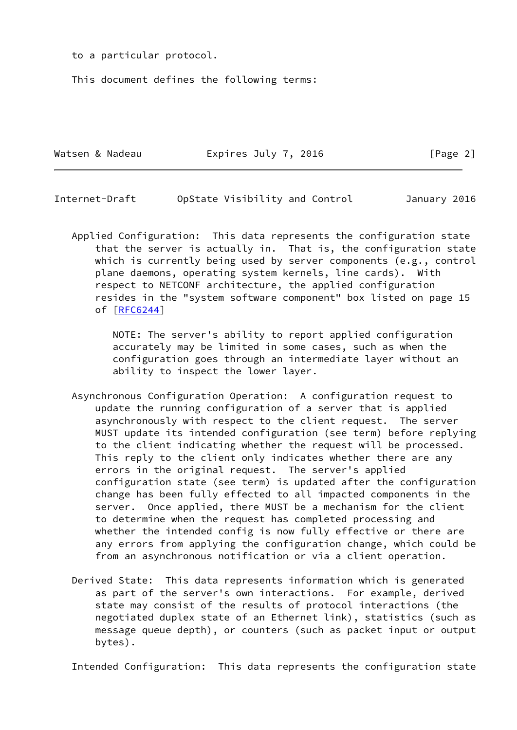to a particular protocol.

This document defines the following terms:

| Expires July 7, 2016<br>Watsen & Nadeau |  | [Page 2] |  |
|-----------------------------------------|--|----------|--|
|-----------------------------------------|--|----------|--|

Internet-Draft OpState Visibility and Control January 2016

 Applied Configuration: This data represents the configuration state that the server is actually in. That is, the configuration state which is currently being used by server components (e.g., control plane daemons, operating system kernels, line cards). With respect to NETCONF architecture, the applied configuration resides in the "system software component" box listed on page 15 of [\[RFC6244](https://datatracker.ietf.org/doc/pdf/rfc6244)]

> NOTE: The server's ability to report applied configuration accurately may be limited in some cases, such as when the configuration goes through an intermediate layer without an ability to inspect the lower layer.

- Asynchronous Configuration Operation: A configuration request to update the running configuration of a server that is applied asynchronously with respect to the client request. The server MUST update its intended configuration (see term) before replying to the client indicating whether the request will be processed. This reply to the client only indicates whether there are any errors in the original request. The server's applied configuration state (see term) is updated after the configuration change has been fully effected to all impacted components in the server. Once applied, there MUST be a mechanism for the client to determine when the request has completed processing and whether the intended config is now fully effective or there are any errors from applying the configuration change, which could be from an asynchronous notification or via a client operation.
- Derived State: This data represents information which is generated as part of the server's own interactions. For example, derived state may consist of the results of protocol interactions (the negotiated duplex state of an Ethernet link), statistics (such as message queue depth), or counters (such as packet input or output bytes).

Intended Configuration: This data represents the configuration state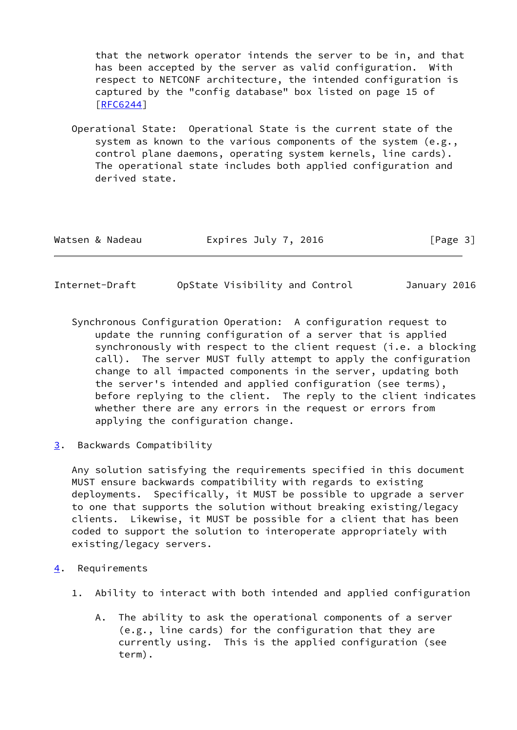that the network operator intends the server to be in, and that has been accepted by the server as valid configuration. With respect to NETCONF architecture, the intended configuration is captured by the "config database" box listed on page 15 of [\[RFC6244](https://datatracker.ietf.org/doc/pdf/rfc6244)]

 Operational State: Operational State is the current state of the system as known to the various components of the system (e.g., control plane daemons, operating system kernels, line cards). The operational state includes both applied configuration and derived state.

| Expires July 7, 2016<br>Watsen & Nadeau<br>[Page 3] |  |
|-----------------------------------------------------|--|
|-----------------------------------------------------|--|

<span id="page-3-1"></span>

| Internet-Draft | OpState Visibility and Control | January 2016 |  |
|----------------|--------------------------------|--------------|--|
|                |                                |              |  |

- Synchronous Configuration Operation: A configuration request to update the running configuration of a server that is applied synchronously with respect to the client request (i.e. a blocking call). The server MUST fully attempt to apply the configuration change to all impacted components in the server, updating both the server's intended and applied configuration (see terms), before replying to the client. The reply to the client indicates whether there are any errors in the request or errors from applying the configuration change.
- <span id="page-3-0"></span>[3](#page-3-0). Backwards Compatibility

 Any solution satisfying the requirements specified in this document MUST ensure backwards compatibility with regards to existing deployments. Specifically, it MUST be possible to upgrade a server to one that supports the solution without breaking existing/legacy clients. Likewise, it MUST be possible for a client that has been coded to support the solution to interoperate appropriately with existing/legacy servers.

- <span id="page-3-2"></span>[4](#page-3-2). Requirements
	- 1. Ability to interact with both intended and applied configuration
		- A. The ability to ask the operational components of a server (e.g., line cards) for the configuration that they are currently using. This is the applied configuration (see term).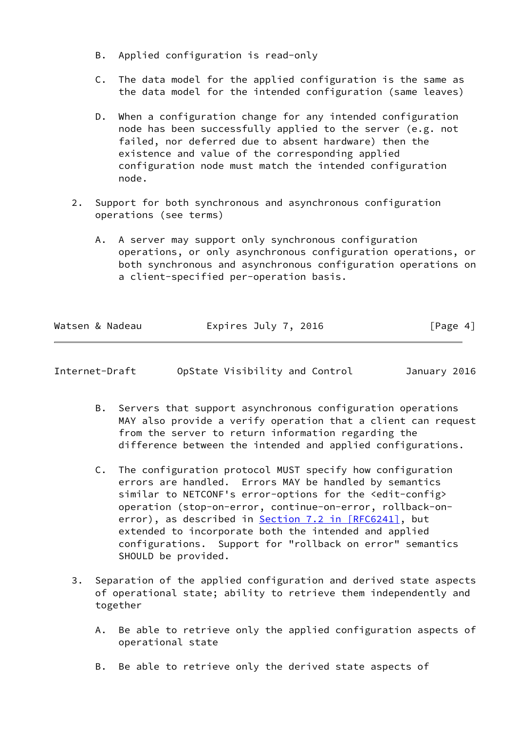- B. Applied configuration is read-only
- C. The data model for the applied configuration is the same as the data model for the intended configuration (same leaves)
- D. When a configuration change for any intended configuration node has been successfully applied to the server (e.g. not failed, nor deferred due to absent hardware) then the existence and value of the corresponding applied configuration node must match the intended configuration node.
- 2. Support for both synchronous and asynchronous configuration operations (see terms)
	- A. A server may support only synchronous configuration operations, or only asynchronous configuration operations, or both synchronous and asynchronous configuration operations on a client-specified per-operation basis.

| Watsen & Nadeau | Expires July 7, 2016 | [Page 4] |
|-----------------|----------------------|----------|
|                 |                      |          |

<span id="page-4-0"></span>

| Internet-Draft | OpState Visibility and Control |  | January 2016 |  |
|----------------|--------------------------------|--|--------------|--|
|                |                                |  |              |  |

- B. Servers that support asynchronous configuration operations MAY also provide a verify operation that a client can request from the server to return information regarding the difference between the intended and applied configurations.
- C. The configuration protocol MUST specify how configuration errors are handled. Errors MAY be handled by semantics similar to NETCONF's error-options for the <edit-config> operation (stop-on-error, continue-on-error, rollback-on- error), as described in Section [7.2 in \[RFC6241\]](https://datatracker.ietf.org/doc/pdf/rfc6241#section-7.2), but extended to incorporate both the intended and applied configurations. Support for "rollback on error" semantics SHOULD be provided.
- 3. Separation of the applied configuration and derived state aspects of operational state; ability to retrieve them independently and together
	- A. Be able to retrieve only the applied configuration aspects of operational state
	- B. Be able to retrieve only the derived state aspects of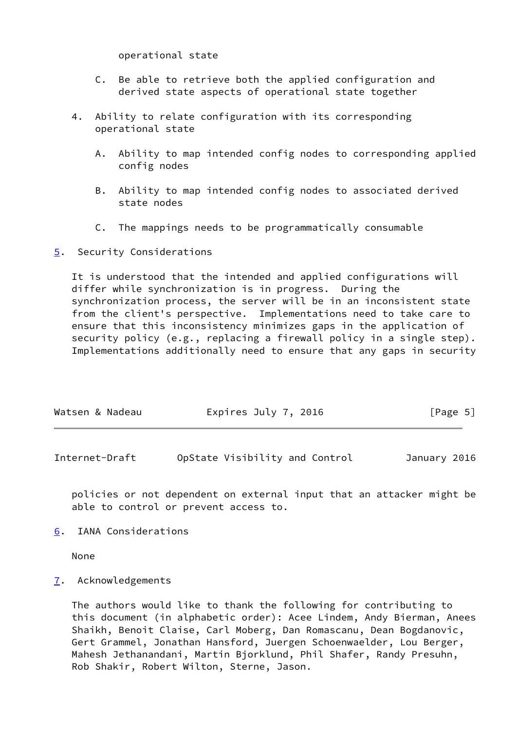operational state

- C. Be able to retrieve both the applied configuration and derived state aspects of operational state together
- 4. Ability to relate configuration with its corresponding operational state
	- A. Ability to map intended config nodes to corresponding applied config nodes
	- B. Ability to map intended config nodes to associated derived state nodes
	- C. The mappings needs to be programmatically consumable
- <span id="page-5-0"></span>[5](#page-5-0). Security Considerations

 It is understood that the intended and applied configurations will differ while synchronization is in progress. During the synchronization process, the server will be in an inconsistent state from the client's perspective. Implementations need to take care to ensure that this inconsistency minimizes gaps in the application of security policy (e.g., replacing a firewall policy in a single step). Implementations additionally need to ensure that any gaps in security

| Watsen & Nadeau | Expires July 7, 2016 | [Page 5] |
|-----------------|----------------------|----------|
|-----------------|----------------------|----------|

<span id="page-5-2"></span>Internet-Draft OpState Visibility and Control January 2016

 policies or not dependent on external input that an attacker might be able to control or prevent access to.

<span id="page-5-1"></span>[6](#page-5-1). IANA Considerations

None

<span id="page-5-3"></span>[7](#page-5-3). Acknowledgements

 The authors would like to thank the following for contributing to this document (in alphabetic order): Acee Lindem, Andy Bierman, Anees Shaikh, Benoit Claise, Carl Moberg, Dan Romascanu, Dean Bogdanovic, Gert Grammel, Jonathan Hansford, Juergen Schoenwaelder, Lou Berger, Mahesh Jethanandani, Martin Bjorklund, Phil Shafer, Randy Presuhn, Rob Shakir, Robert Wilton, Sterne, Jason.